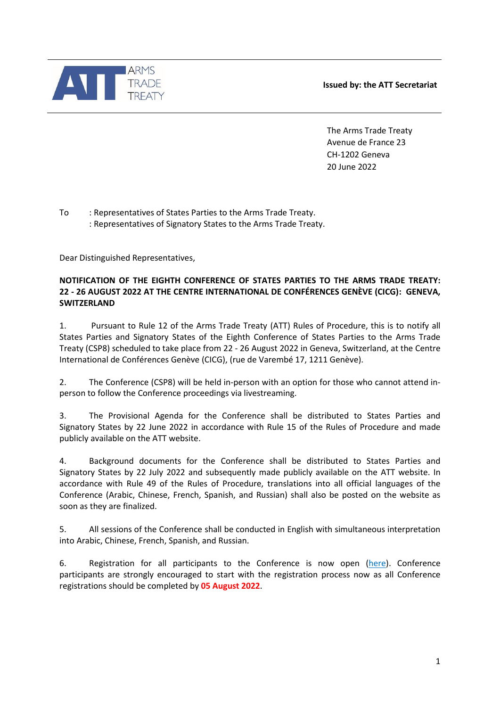



The Arms Trade Treaty Avenue de France 23 CH-1202 Geneva 20 June 2022

To : Representatives of States Parties to the Arms Trade Treaty. : Representatives of Signatory States to the Arms Trade Treaty.

Dear Distinguished Representatives,

## **NOTIFICATION OF THE EIGHTH CONFERENCE OF STATES PARTIES TO THE ARMS TRADE TREATY: 22 - 26 AUGUST 2022 AT THE CENTRE INTERNATIONAL DE CONFÉRENCES GENÈVE (CICG): GENEVA, SWITZERLAND**

1. Pursuant to Rule 12 of the Arms Trade Treaty (ATT) Rules of Procedure, this is to notify all States Parties and Signatory States of the Eighth Conference of States Parties to the Arms Trade Treaty (CSP8) scheduled to take place from 22 - 26 August 2022 in Geneva, Switzerland, at the Centre International de Conférences Genève (CICG), (rue de Varembé 17, 1211 Genève).

2. The Conference (CSP8) will be held in-person with an option for those who cannot attend inperson to follow the Conference proceedings via livestreaming.

3. The Provisional Agenda for the Conference shall be distributed to States Parties and Signatory States by 22 June 2022 in accordance with Rule 15 of the Rules of Procedure and made publicly available on the ATT website.

4. Background documents for the Conference shall be distributed to States Parties and Signatory States by 22 July 2022 and subsequently made publicly available on the ATT website. In accordance with Rule 49 of the Rules of Procedure, translations into all official languages of the Conference (Arabic, Chinese, French, Spanish, and Russian) shall also be posted on the website as soon as they are finalized.

5. All sessions of the Conference shall be conducted in English with simultaneous interpretation into Arabic, Chinese, French, Spanish, and Russian.

6. Registration for all participants to the Conference is now open [\(here\)](https://www.thearmstradetreaty.org/CSP8-registration-process). Conference participants are strongly encouraged to start with the registration process now as all Conference registrations should be completed by **05 August 2022**.